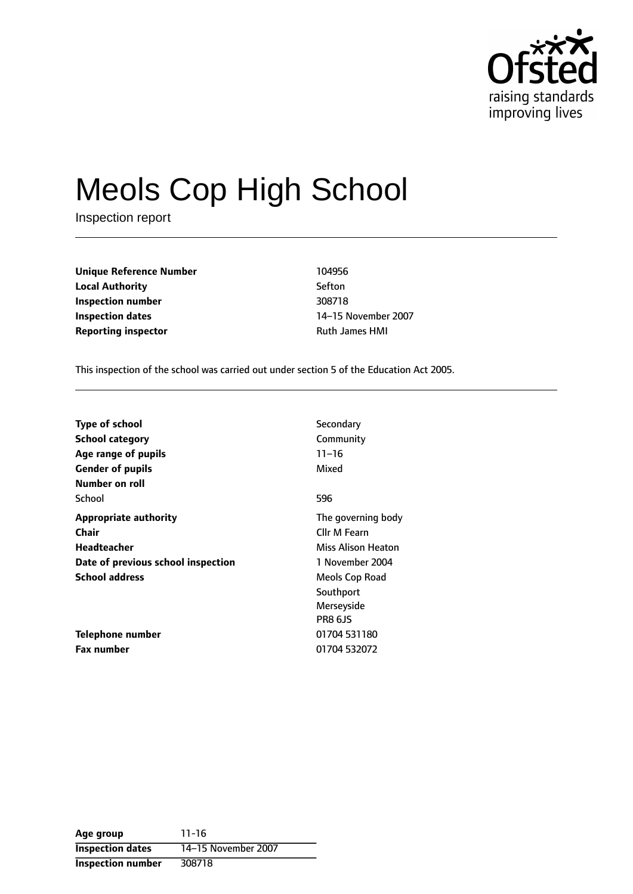

# Meols Cop High School

Inspection report

**Unique Reference Number** 104956 **Local Authority** Sefton **Inspection number** 308718 **Inspection dates** 14-15 November 2007 **Reporting inspector CONSERVING THE RUSS RUTH PROPERTY RUTH** Ruth James HMI

This inspection of the school was carried out under section 5 of the Education Act 2005.

| <b>Type of school</b>              | Secondary          |
|------------------------------------|--------------------|
| <b>School category</b>             | Community          |
| Age range of pupils                | $11 - 16$          |
| <b>Gender of pupils</b>            | Mixed              |
| Number on roll                     |                    |
| School                             | 596                |
| <b>Appropriate authority</b>       | The governing body |
| Chair                              | Cllr M Fearn       |
| Headteacher                        | Miss Alison Heaton |
| Date of previous school inspection | 1 November 2004    |
| <b>School address</b>              | Meols Cop Road     |
|                                    | Southport          |
|                                    | Merseyside         |
|                                    | <b>PR8 6JS</b>     |
| Telephone number                   | 01704 531180       |
| <b>Fax number</b>                  | 01704 532072       |

**Age group** 11-16 **Inspection dates** 14-15 November 2007 **Inspection number** 308718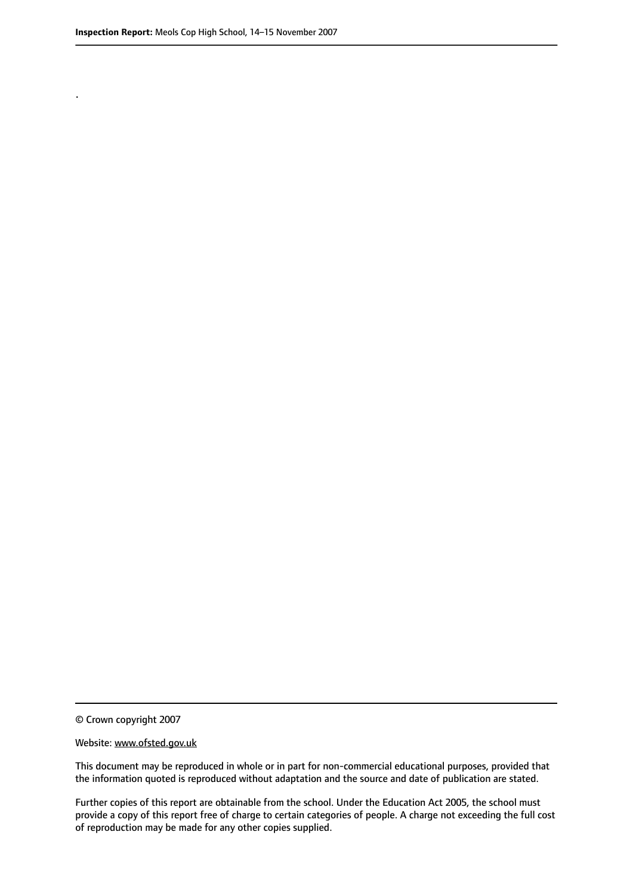.

© Crown copyright 2007

#### Website: www.ofsted.gov.uk

This document may be reproduced in whole or in part for non-commercial educational purposes, provided that the information quoted is reproduced without adaptation and the source and date of publication are stated.

Further copies of this report are obtainable from the school. Under the Education Act 2005, the school must provide a copy of this report free of charge to certain categories of people. A charge not exceeding the full cost of reproduction may be made for any other copies supplied.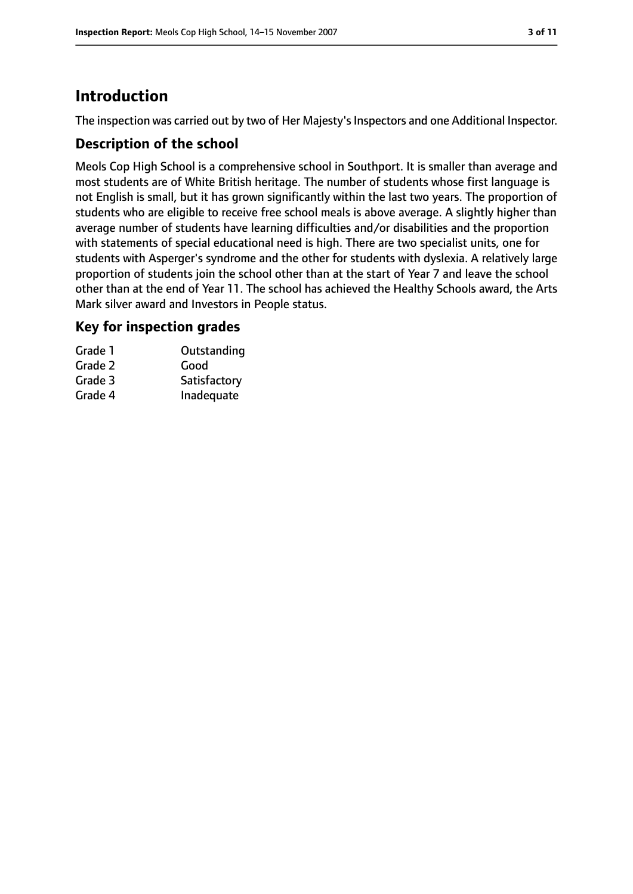# **Introduction**

The inspection was carried out by two of Her Majesty's Inspectors and one Additional Inspector.

#### **Description of the school**

Meols Cop High School is a comprehensive school in Southport. It is smaller than average and most students are of White British heritage. The number of students whose first language is not English is small, but it has grown significantly within the last two years. The proportion of students who are eligible to receive free school meals is above average. A slightly higher than average number of students have learning difficulties and/or disabilities and the proportion with statements of special educational need is high. There are two specialist units, one for students with Asperger's syndrome and the other for students with dyslexia. A relatively large proportion of students join the school other than at the start of Year 7 and leave the school other than at the end of Year 11. The school has achieved the Healthy Schools award, the Arts Mark silver award and Investors in People status.

#### **Key for inspection grades**

| Grade 1 | Outstanding  |
|---------|--------------|
| Grade 2 | Good         |
| Grade 3 | Satisfactory |
| Grade 4 | Inadequate   |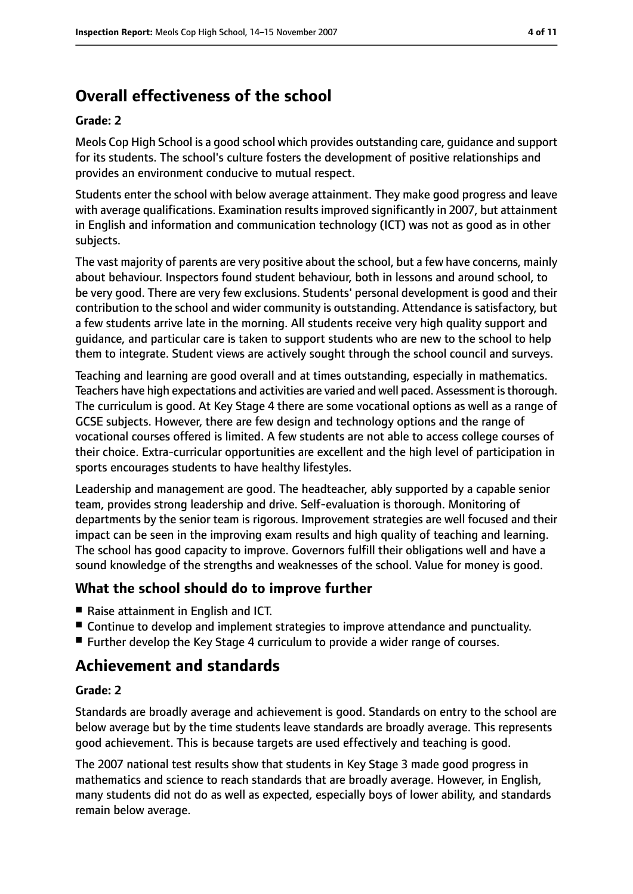# **Overall effectiveness of the school**

#### **Grade: 2**

Meols Cop High School is a good school which provides outstanding care, guidance and support for its students. The school's culture fosters the development of positive relationships and provides an environment conducive to mutual respect.

Students enter the school with below average attainment. They make good progress and leave with average qualifications. Examination results improved significantly in 2007, but attainment in English and information and communication technology (ICT) was not as good as in other subjects.

The vast majority of parents are very positive about the school, but a few have concerns, mainly about behaviour. Inspectors found student behaviour, both in lessons and around school, to be very good. There are very few exclusions. Students' personal development is good and their contribution to the school and wider community is outstanding. Attendance is satisfactory, but a few students arrive late in the morning. All students receive very high quality support and guidance, and particular care is taken to support students who are new to the school to help them to integrate. Student views are actively sought through the school council and surveys.

Teaching and learning are good overall and at times outstanding, especially in mathematics. Teachers have high expectations and activities are varied and well paced. Assessment is thorough. The curriculum is good. At Key Stage 4 there are some vocational options as well as a range of GCSE subjects. However, there are few design and technology options and the range of vocational courses offered is limited. A few students are not able to access college courses of their choice. Extra-curricular opportunities are excellent and the high level of participation in sports encourages students to have healthy lifestyles.

Leadership and management are good. The headteacher, ably supported by a capable senior team, provides strong leadership and drive. Self-evaluation is thorough. Monitoring of departments by the senior team is rigorous. Improvement strategies are well focused and their impact can be seen in the improving exam results and high quality of teaching and learning. The school has good capacity to improve. Governors fulfill their obligations well and have a sound knowledge of the strengths and weaknesses of the school. Value for money is good.

#### **What the school should do to improve further**

- Raise attainment in English and ICT.
- Continue to develop and implement strategies to improve attendance and punctuality.
- Further develop the Key Stage 4 curriculum to provide a wider range of courses.

# **Achievement and standards**

#### **Grade: 2**

Standards are broadly average and achievement is good. Standards on entry to the school are below average but by the time students leave standards are broadly average. This represents good achievement. This is because targets are used effectively and teaching is good.

The 2007 national test results show that students in Key Stage 3 made good progress in mathematics and science to reach standards that are broadly average. However, in English, many students did not do as well as expected, especially boys of lower ability, and standards remain below average.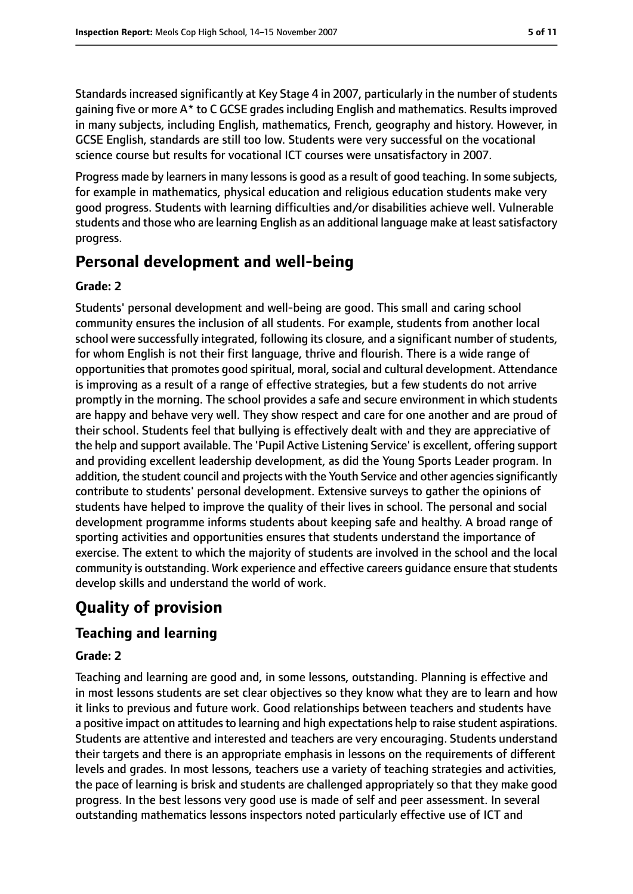Standards increased significantly at Key Stage 4 in 2007, particularly in the number of students gaining five or more A\* to C GCSE grades including English and mathematics. Results improved in many subjects, including English, mathematics, French, geography and history. However, in GCSE English, standards are still too low. Students were very successful on the vocational science course but results for vocational ICT courses were unsatisfactory in 2007.

Progress made by learners in many lessons is good as a result of good teaching. In some subjects, for example in mathematics, physical education and religious education students make very good progress. Students with learning difficulties and/or disabilities achieve well. Vulnerable students and those who are learning English as an additional language make at least satisfactory progress.

# **Personal development and well-being**

#### **Grade: 2**

Students' personal development and well-being are good. This small and caring school community ensures the inclusion of all students. For example, students from another local school were successfully integrated, following its closure, and a significant number of students, for whom English is not their first language, thrive and flourish. There is a wide range of opportunities that promotes good spiritual, moral, social and cultural development. Attendance is improving as a result of a range of effective strategies, but a few students do not arrive promptly in the morning. The school provides a safe and secure environment in which students are happy and behave very well. They show respect and care for one another and are proud of their school. Students feel that bullying is effectively dealt with and they are appreciative of the help and support available. The 'Pupil Active Listening Service' is excellent, offering support and providing excellent leadership development, as did the Young Sports Leader program. In addition, the student council and projects with the Youth Service and other agencies significantly contribute to students' personal development. Extensive surveys to gather the opinions of students have helped to improve the quality of their lives in school. The personal and social development programme informs students about keeping safe and healthy. A broad range of sporting activities and opportunities ensures that students understand the importance of exercise. The extent to which the majority of students are involved in the school and the local community is outstanding. Work experience and effective careers guidance ensure that students develop skills and understand the world of work.

# **Quality of provision**

# **Teaching and learning**

#### **Grade: 2**

Teaching and learning are good and, in some lessons, outstanding. Planning is effective and in most lessons students are set clear objectives so they know what they are to learn and how it links to previous and future work. Good relationships between teachers and students have a positive impact on attitudes to learning and high expectations help to raise student aspirations. Students are attentive and interested and teachers are very encouraging. Students understand their targets and there is an appropriate emphasis in lessons on the requirements of different levels and grades. In most lessons, teachers use a variety of teaching strategies and activities, the pace of learning is brisk and students are challenged appropriately so that they make good progress. In the best lessons very good use is made of self and peer assessment. In several outstanding mathematics lessons inspectors noted particularly effective use of ICT and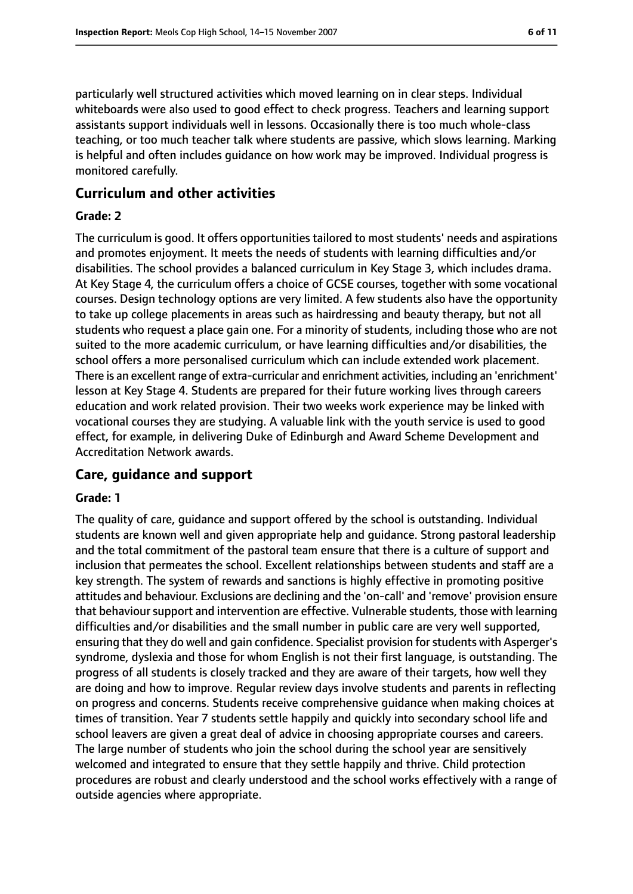particularly well structured activities which moved learning on in clear steps. Individual whiteboards were also used to good effect to check progress. Teachers and learning support assistants support individuals well in lessons. Occasionally there is too much whole-class teaching, or too much teacher talk where students are passive, which slows learning. Marking is helpful and often includes guidance on how work may be improved. Individual progress is monitored carefully.

#### **Curriculum and other activities**

#### **Grade: 2**

The curriculum is good. It offers opportunities tailored to most students' needs and aspirations and promotes enjoyment. It meets the needs of students with learning difficulties and/or disabilities. The school provides a balanced curriculum in Key Stage 3, which includes drama. At Key Stage 4, the curriculum offers a choice of GCSE courses, together with some vocational courses. Design technology options are very limited. A few students also have the opportunity to take up college placements in areas such as hairdressing and beauty therapy, but not all students who request a place gain one. For a minority of students, including those who are not suited to the more academic curriculum, or have learning difficulties and/or disabilities, the school offers a more personalised curriculum which can include extended work placement. There is an excellent range of extra-curricular and enrichment activities, including an 'enrichment' lesson at Key Stage 4. Students are prepared for their future working lives through careers education and work related provision. Their two weeks work experience may be linked with vocational courses they are studying. A valuable link with the youth service is used to good effect, for example, in delivering Duke of Edinburgh and Award Scheme Development and Accreditation Network awards.

#### **Care, guidance and support**

#### **Grade: 1**

The quality of care, guidance and support offered by the school is outstanding. Individual students are known well and given appropriate help and guidance. Strong pastoral leadership and the total commitment of the pastoral team ensure that there is a culture of support and inclusion that permeates the school. Excellent relationships between students and staff are a key strength. The system of rewards and sanctions is highly effective in promoting positive attitudes and behaviour. Exclusions are declining and the 'on-call' and 'remove' provision ensure that behaviour support and intervention are effective. Vulnerable students, those with learning difficulties and/or disabilities and the small number in public care are very well supported, ensuring that they do well and gain confidence. Specialist provision forstudents with Asperger's syndrome, dyslexia and those for whom English is not their first language, is outstanding. The progress of all students is closely tracked and they are aware of their targets, how well they are doing and how to improve. Regular review days involve students and parents in reflecting on progress and concerns. Students receive comprehensive guidance when making choices at times of transition. Year 7 students settle happily and quickly into secondary school life and school leavers are given a great deal of advice in choosing appropriate courses and careers. The large number of students who join the school during the school year are sensitively welcomed and integrated to ensure that they settle happily and thrive. Child protection procedures are robust and clearly understood and the school works effectively with a range of outside agencies where appropriate.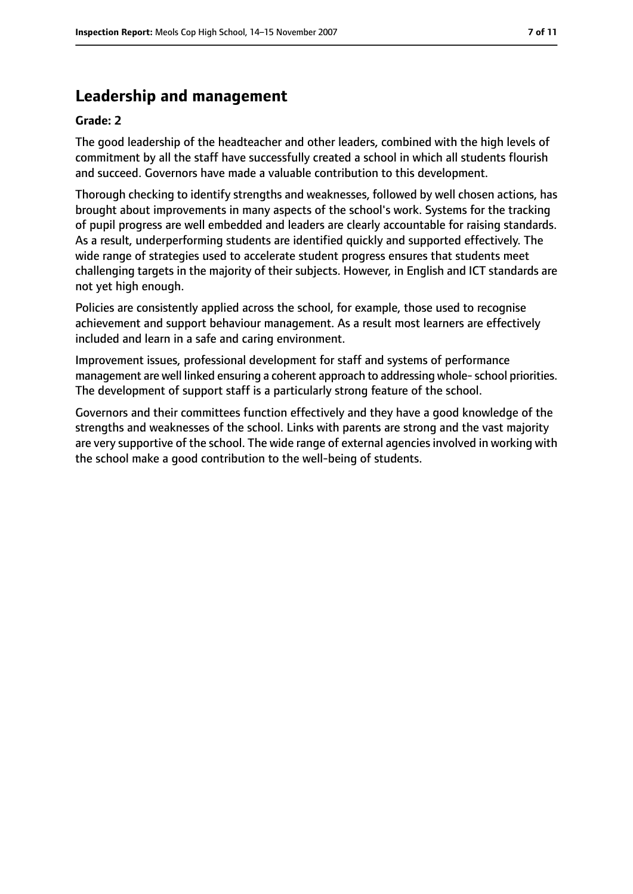# **Leadership and management**

#### **Grade: 2**

The good leadership of the headteacher and other leaders, combined with the high levels of commitment by all the staff have successfully created a school in which all students flourish and succeed. Governors have made a valuable contribution to this development.

Thorough checking to identify strengths and weaknesses, followed by well chosen actions, has brought about improvements in many aspects of the school's work. Systems for the tracking of pupil progress are well embedded and leaders are clearly accountable for raising standards. As a result, underperforming students are identified quickly and supported effectively. The wide range of strategies used to accelerate student progress ensures that students meet challenging targets in the majority of their subjects. However, in English and ICT standards are not yet high enough.

Policies are consistently applied across the school, for example, those used to recognise achievement and support behaviour management. As a result most learners are effectively included and learn in a safe and caring environment.

Improvement issues, professional development for staff and systems of performance management are well linked ensuring a coherent approach to addressing whole-school priorities. The development of support staff is a particularly strong feature of the school.

Governors and their committees function effectively and they have a good knowledge of the strengths and weaknesses of the school. Links with parents are strong and the vast majority are very supportive of the school. The wide range of external agencies involved in working with the school make a good contribution to the well-being of students.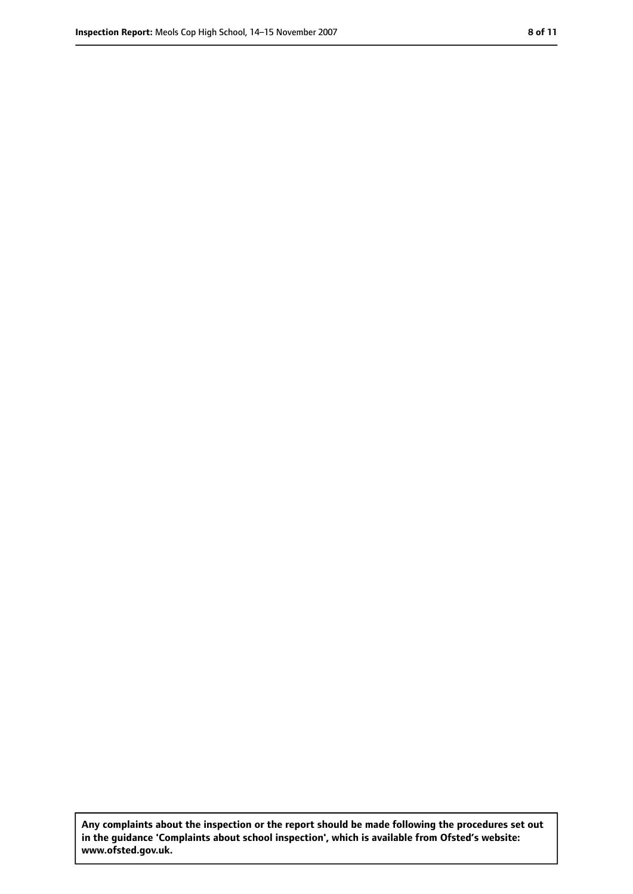**Any complaints about the inspection or the report should be made following the procedures set out in the guidance 'Complaints about school inspection', which is available from Ofsted's website: www.ofsted.gov.uk.**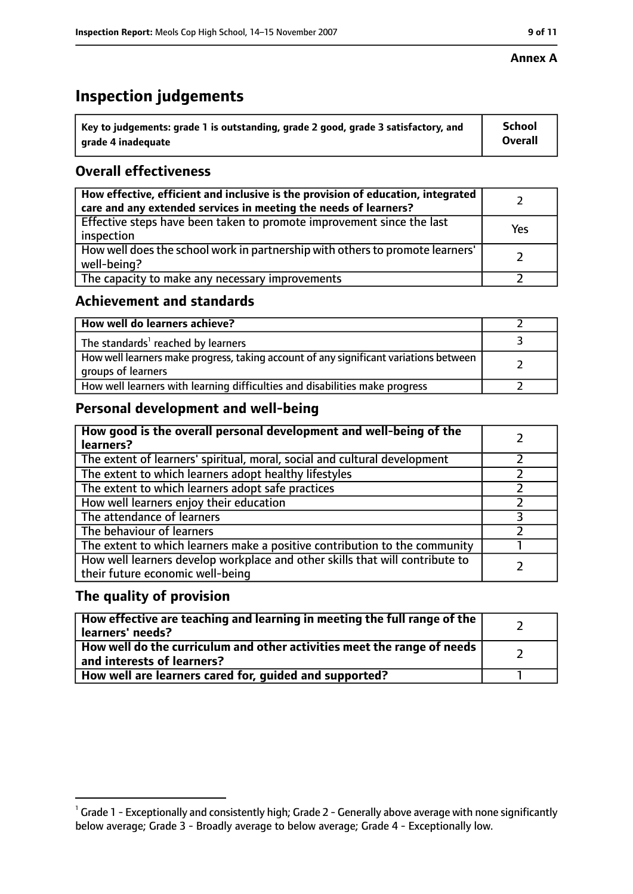#### **Annex A**

# **Inspection judgements**

| Key to judgements: grade 1 is outstanding, grade 2 good, grade 3 satisfactory, and | <b>School</b>  |
|------------------------------------------------------------------------------------|----------------|
| grade 4 inadequate                                                                 | <b>Overall</b> |

### **Overall effectiveness**

| How effective, efficient and inclusive is the provision of education, integrated<br>care and any extended services in meeting the needs of learners? |     |
|------------------------------------------------------------------------------------------------------------------------------------------------------|-----|
| Effective steps have been taken to promote improvement since the last<br>inspection                                                                  | Yes |
| How well does the school work in partnership with others to promote learners'<br>well-being?                                                         |     |
| The capacity to make any necessary improvements                                                                                                      |     |

#### **Achievement and standards**

| How well do learners achieve?                                                                               |  |
|-------------------------------------------------------------------------------------------------------------|--|
| The standards <sup>1</sup> reached by learners                                                              |  |
| How well learners make progress, taking account of any significant variations between<br>groups of learners |  |
| How well learners with learning difficulties and disabilities make progress                                 |  |

# **Personal development and well-being**

| How good is the overall personal development and well-being of the<br>learners?                                  |   |
|------------------------------------------------------------------------------------------------------------------|---|
| The extent of learners' spiritual, moral, social and cultural development                                        |   |
| The extent to which learners adopt healthy lifestyles                                                            |   |
| The extent to which learners adopt safe practices                                                                |   |
| How well learners enjoy their education                                                                          |   |
| The attendance of learners                                                                                       | っ |
| The behaviour of learners                                                                                        |   |
| The extent to which learners make a positive contribution to the community                                       |   |
| How well learners develop workplace and other skills that will contribute to<br>their future economic well-being |   |

#### **The quality of provision**

| How effective are teaching and learning in meeting the full range of the<br>learners' needs?            |  |
|---------------------------------------------------------------------------------------------------------|--|
| How well do the curriculum and other activities meet the range of needs  <br>and interests of learners? |  |
| How well are learners cared for, guided and supported?                                                  |  |

 $^1$  Grade 1 - Exceptionally and consistently high; Grade 2 - Generally above average with none significantly below average; Grade 3 - Broadly average to below average; Grade 4 - Exceptionally low.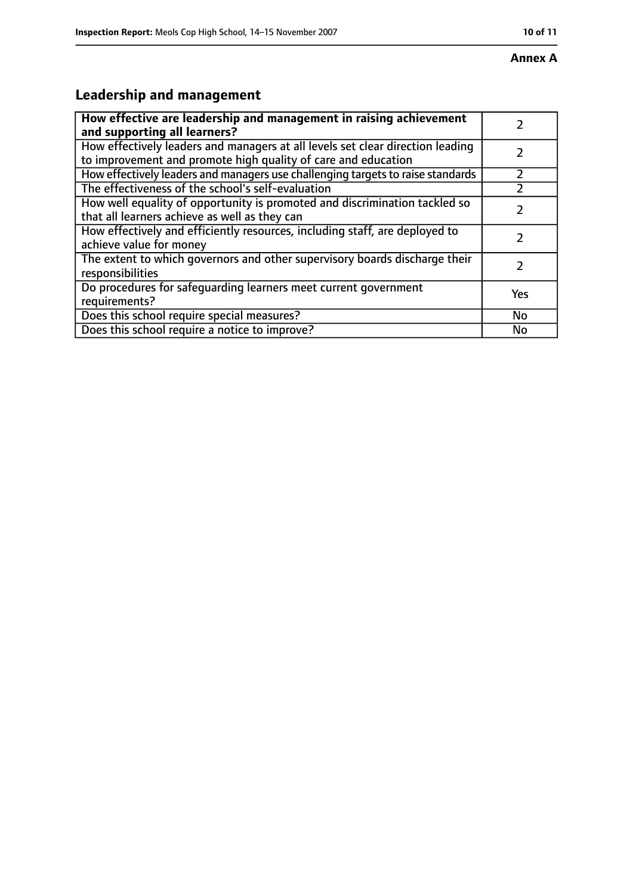# **Leadership and management**

| How effective are leadership and management in raising achievement<br>and supporting all learners?                                              |           |
|-------------------------------------------------------------------------------------------------------------------------------------------------|-----------|
| How effectively leaders and managers at all levels set clear direction leading<br>to improvement and promote high quality of care and education |           |
| How effectively leaders and managers use challenging targets to raise standards                                                                 |           |
| The effectiveness of the school's self-evaluation                                                                                               |           |
| How well equality of opportunity is promoted and discrimination tackled so<br>that all learners achieve as well as they can                     |           |
| How effectively and efficiently resources, including staff, are deployed to<br>achieve value for money                                          |           |
| The extent to which governors and other supervisory boards discharge their<br>responsibilities                                                  |           |
| Do procedures for safequarding learners meet current government<br>requirements?                                                                | Yes       |
| Does this school require special measures?                                                                                                      | <b>No</b> |
| Does this school require a notice to improve?                                                                                                   | No        |